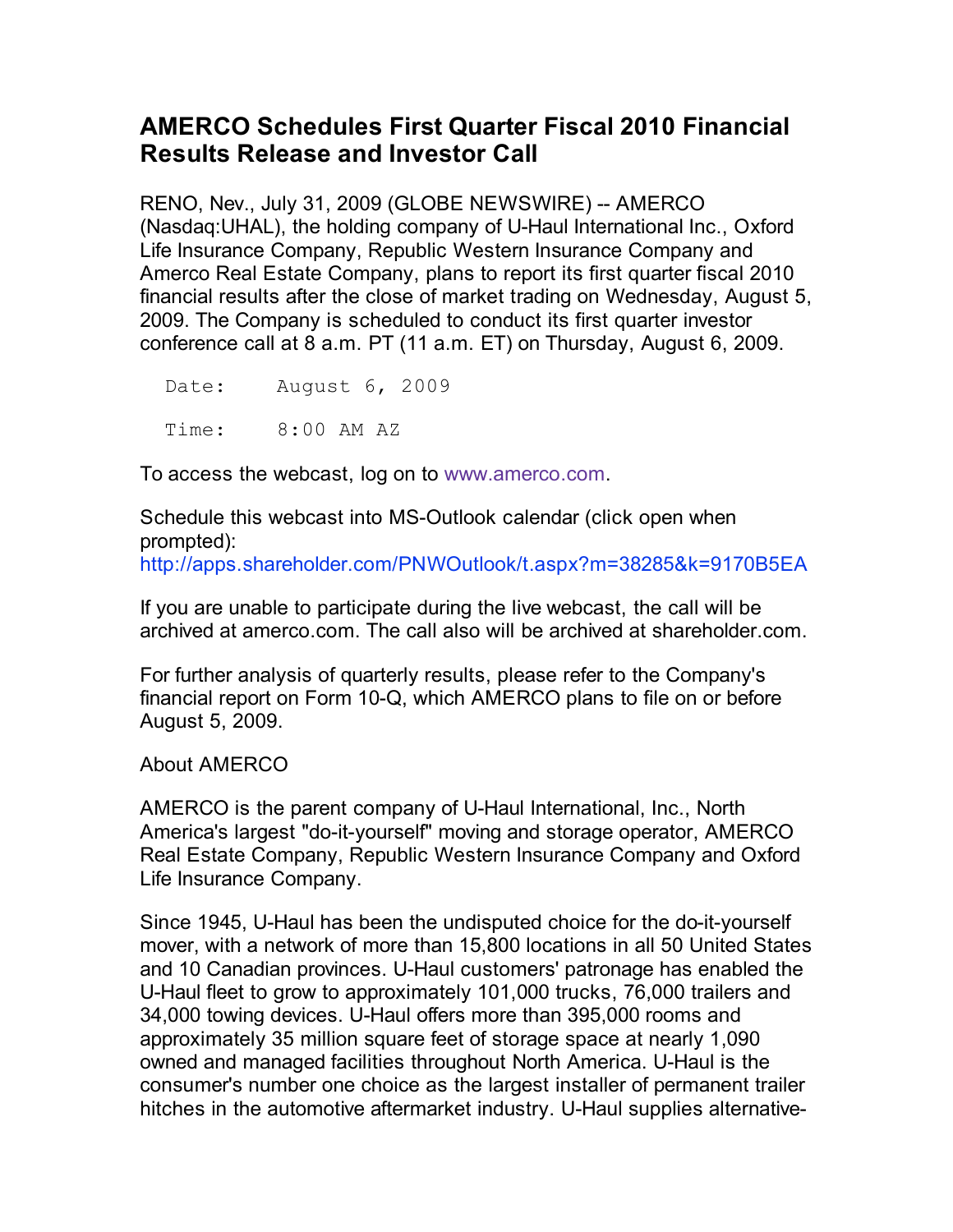## **AMERCO Schedules First Quarter Fiscal 2010 Financial Results Release and Investor Call**

RENO, Nev., July 31, 2009 (GLOBE NEWSWIRE) -- AMERCO (Nasdaq:UHAL), the holding company of U-Haul International Inc., Oxford Life Insurance Company, Republic Western Insurance Company and Amerco Real Estate Company, plans to report its first quarter fiscal 2010 financial results after the close of market trading on Wednesday, August 5, 2009. The Company is scheduled to conduct its first quarter investor conference call at 8 a.m. PT (11 a.m. ET) on Thursday, August 6, 2009.

 Date: August 6, 2009 Time: 8:00 AM AZ

To access the webcast, log on to www.amerco.com.

Schedule this webcast into MS-Outlook calendar (click open when prompted):

http://apps.shareholder.com/PNWOutlook/t.aspx?m=38285&k=9170B5EA

If you are unable to participate during the live webcast, the call will be archived at amerco.com. The call also will be archived at shareholder.com.

For further analysis of quarterly results, please refer to the Company's financial report on Form 10-Q, which AMERCO plans to file on or before August 5, 2009.

About AMERCO

AMERCO is the parent company of U-Haul International, Inc., North America's largest "do-it-yourself" moving and storage operator, AMERCO Real Estate Company, Republic Western Insurance Company and Oxford Life Insurance Company.

Since 1945, U-Haul has been the undisputed choice for the do-it-yourself mover, with a network of more than 15,800 locations in all 50 United States and 10 Canadian provinces. U-Haul customers' patronage has enabled the U-Haul fleet to grow to approximately 101,000 trucks, 76,000 trailers and 34,000 towing devices. U-Haul offers more than 395,000 rooms and approximately 35 million square feet of storage space at nearly 1,090 owned and managed facilities throughout North America. U-Haul is the consumer's number one choice as the largest installer of permanent trailer hitches in the automotive aftermarket industry. U-Haul supplies alternative-